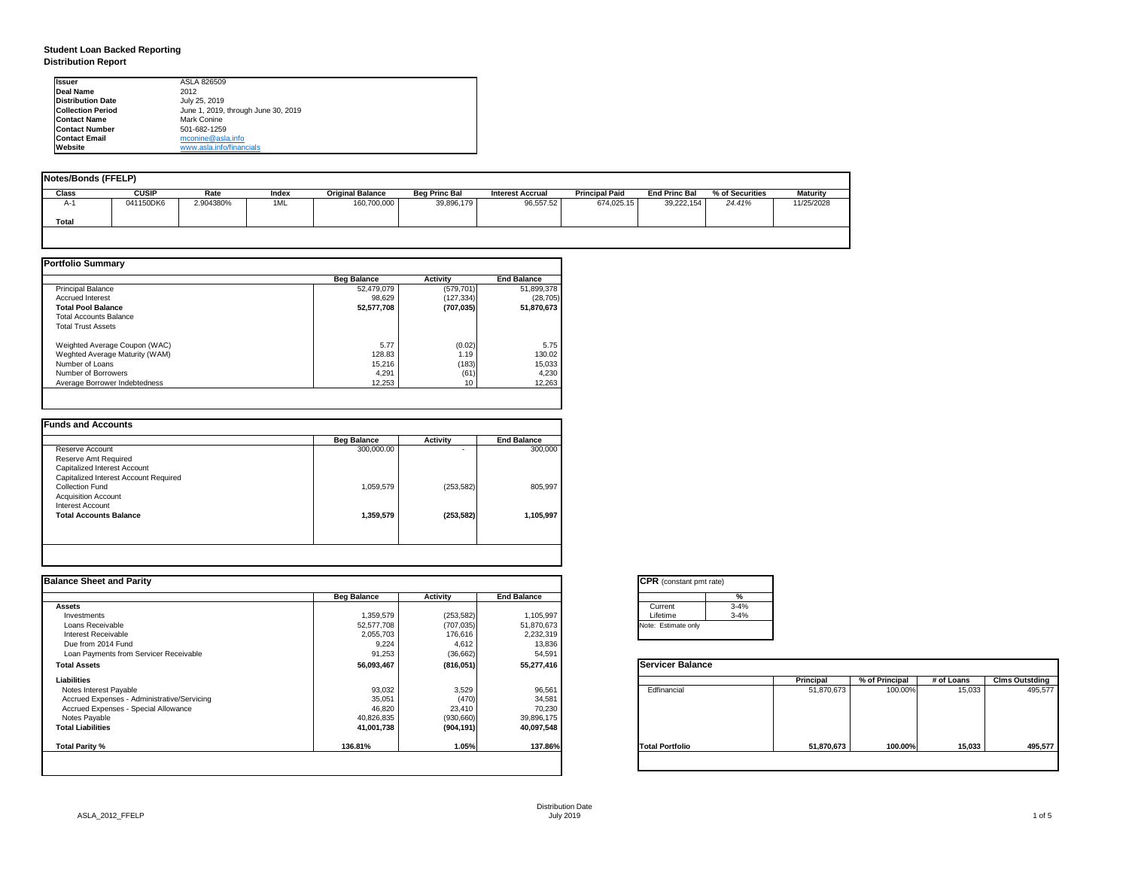## **Student Loan Backed Reporting Distribution Report**

| <b>Notes/Bonds (FFELP)</b> |              |           |              |                         |                      |                         |                       |                      |                 |                 |
|----------------------------|--------------|-----------|--------------|-------------------------|----------------------|-------------------------|-----------------------|----------------------|-----------------|-----------------|
| <b>Class</b>               | <b>CUSIP</b> | Rate      | <b>Index</b> | <b>Original Balance</b> | <b>Beg Princ Bal</b> | <b>Interest Accrual</b> | <b>Principal Paid</b> | <b>End Princ Bal</b> | % of Securities | <b>Maturity</b> |
| A-1                        | 041150DK6    | 2.904380% | 1ML          | 160,700,000             | 39,896,179           | 96,557.52               | 674,025.15            | 39,222,154           | 24.41%          | 11/25/2028      |
| <b>Total</b>               |              |           |              |                         |                      |                         |                       |                      |                 |                 |
|                            |              |           |              |                         |                      |                         |                       |                      |                 |                 |

|                                | <b>Beg Balance</b> | <b>Activity</b> | <b>End Balance</b> |
|--------------------------------|--------------------|-----------------|--------------------|
| <b>Principal Balance</b>       | 52,479,079         | (579, 701)      | 51,899,378         |
| <b>Accrued Interest</b>        | 98,629             | (127, 334)      | (28, 705)          |
| <b>Total Pool Balance</b>      | 52,577,708         | (707, 035)      | 51,870,673         |
| <b>Total Accounts Balance</b>  |                    |                 |                    |
| <b>Total Trust Assets</b>      |                    |                 |                    |
| Weighted Average Coupon (WAC)  | 5.77               | (0.02)          | 5.75               |
| Weghted Average Maturity (WAM) | 128.83             | 1.19            | 130.02             |
| Number of Loans                | 15,216             | (183)           | 15,033             |
| Number of Borrowers            | 4,291              | (61)            | 4,230              |
| Average Borrower Indebtedness  | 12,253             | 10              | 12,263             |

|                                       | <b>Beg Balance</b> | <b>Activity</b> | <b>End Balance</b> |
|---------------------------------------|--------------------|-----------------|--------------------|
| Reserve Account                       | 300,000.00         | -               | 300,000            |
| Reserve Amt Required                  |                    |                 |                    |
| <b>Capitalized Interest Account</b>   |                    |                 |                    |
| Capitalized Interest Account Required |                    |                 |                    |
| <b>Collection Fund</b>                | 1,059,579          | (253, 582)      | 805,997            |
| <b>Acquisition Account</b>            |                    |                 |                    |
| <b>Interest Account</b>               |                    |                 |                    |
| <b>Total Accounts Balance</b>         | 1,359,579          | (253, 582)      | 1,105,997          |
|                                       |                    |                 |                    |
|                                       |                    |                 |                    |

| <b>Ilssuer</b>           | ASLA 826509                         |
|--------------------------|-------------------------------------|
| <b>IDeal Name</b>        | 2012                                |
| <b>Distribution Date</b> | July 25, 2019                       |
| <b>Collection Period</b> | June 1, 2019, through June 30, 2019 |
| <b>Contact Name</b>      | <b>Mark Conine</b>                  |
| <b>IContact Number</b>   | 501-682-1259                        |
| <b>Contact Email</b>     | mconine@asla.info                   |
| <b>IWebsite</b>          | www.asla.info/financials            |

| tant pmt rate) |          |  |
|----------------|----------|--|
|                | %        |  |
|                | $3 - 4%$ |  |
|                | $3 - 4%$ |  |
| te only        |          |  |
|                |          |  |

| <b>Balance</b> |                  |                |            |                       |
|----------------|------------------|----------------|------------|-----------------------|
|                | <b>Principal</b> | % of Principal | # of Loans | <b>Clms Outstding</b> |
| al             | 51,870,673       | 100.00%        | 15,033     | 495,577               |
| oilo           | 51,870,673       | 100.00%        | 15,033     | 495,577               |
|                |                  |                |            |                       |

| <b>Balance Sheet and Parity</b>             |                    |                 |                    | <b>CPR</b> (constant pmt rate) |          |                  |                |            |                       |
|---------------------------------------------|--------------------|-----------------|--------------------|--------------------------------|----------|------------------|----------------|------------|-----------------------|
|                                             | <b>Beg Balance</b> | <b>Activity</b> | <b>End Balance</b> |                                | %        |                  |                |            |                       |
| Assets                                      |                    |                 |                    | Current                        | $3 - 4%$ |                  |                |            |                       |
| Investments                                 | 1,359,579          | (253, 582)      | 1,105,997          | Lifetime                       | $3 - 4%$ |                  |                |            |                       |
| Loans Receivable                            | 52,577,708         | (707, 035)      | 51,870,673         | Note: Estimate only            |          |                  |                |            |                       |
| <b>Interest Receivable</b>                  | 2,055,703          | 176,616         | 2,232,319          |                                |          |                  |                |            |                       |
| Due from 2014 Fund                          | 9,224              | 4,612           | 13,836             |                                |          |                  |                |            |                       |
| Loan Payments from Servicer Receivable      | 91,253             | (36, 662)       | 54,591             |                                |          |                  |                |            |                       |
| <b>Total Assets</b>                         | 56,093,467         | (816, 051)      | 55,277,416         | <b>Servicer Balance</b>        |          |                  |                |            |                       |
| <b>Liabilities</b>                          |                    |                 |                    |                                |          | <b>Principal</b> | % of Principal | # of Loans | <b>Clms Outstding</b> |
| Notes Interest Payable                      | 93,032             | 3,529           | 96,561             | Edfinancial                    |          | 51,870,673       | 100.00%        | 15,033     | 495,577               |
| Accrued Expenses - Administrative/Servicing | 35,051             | (470)           | 34,581             |                                |          |                  |                |            |                       |
| Accrued Expenses - Special Allowance        | 46,820             | 23,410          | 70,230             |                                |          |                  |                |            |                       |
| Notes Payable                               | 40,826,835         | (930, 660)      | 39,896,175         |                                |          |                  |                |            |                       |
| <b>Total Liabilities</b>                    | 41,001,738         | (904, 191)      | 40,097,548         |                                |          |                  |                |            |                       |
| Total Parity %                              | 136.81%            | 1.05%           | 137.86%            | <b>Total Portfolio</b>         |          | 51,870,673       | 100.00%        | 15,033     | 495,577               |
|                                             |                    |                 |                    |                                |          |                  |                |            |                       |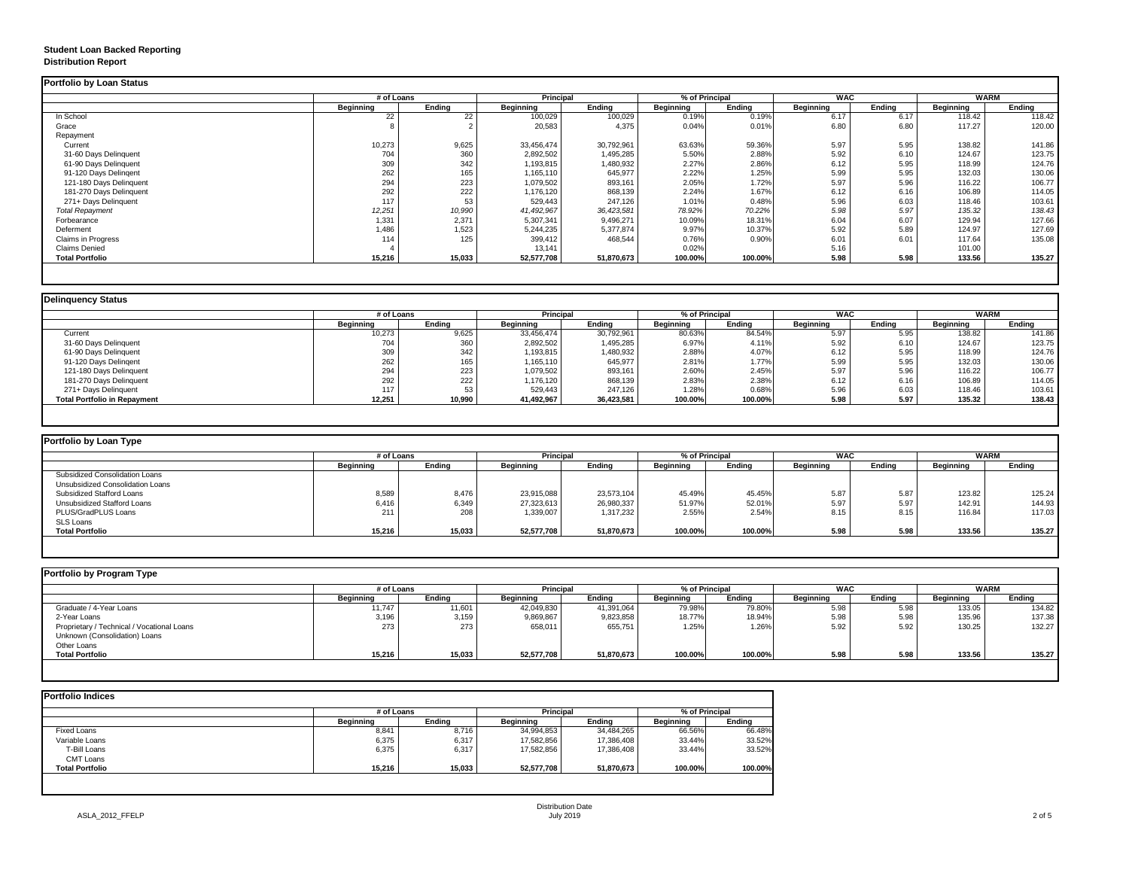## **Student Loan Backed Reporting Distribution Report**

## **Delinquency Status**

| <b>Portfolio by Loan Status</b> |                  |               |                  |               |                  |                |                  |               |                  |               |
|---------------------------------|------------------|---------------|------------------|---------------|------------------|----------------|------------------|---------------|------------------|---------------|
|                                 | # of Loans       |               | <b>Principal</b> |               |                  | % of Principal | <b>WAC</b>       |               | <b>WARM</b>      |               |
|                                 | <b>Beginning</b> | <b>Ending</b> | <b>Beginning</b> | <b>Ending</b> | <b>Beginning</b> | <b>Ending</b>  | <b>Beginning</b> | <b>Ending</b> | <b>Beginning</b> | <b>Ending</b> |
| In School                       | 22               | 22            | 100,029          | 100,029       | 0.19%            | 0.19%          | 6.17             | 6.17          | 118.42           | 118.42        |
| Grace                           |                  |               | 20,583           | 4,375         | 0.04%            | 0.01%          | 6.80             | 6.80          | 117.27           | 120.00        |
| Repayment                       |                  |               |                  |               |                  |                |                  |               |                  |               |
| Current                         | 10,273           | 9,625         | 33,456,474       | 30,792,961    | 63.63%           | 59.36%         | 5.97             | 5.95          | 138.82           | 141.86        |
| 31-60 Days Delinquent           | 704              | 360           | 2,892,502        | 1,495,285     | 5.50%            | 2.88%          | 5.92             | 6.10          | 124.67           | 123.75        |
| 61-90 Days Delinquent           | 309              | 342           | 1,193,815        | 1,480,932     | 2.27%            | 2.86%          | 6.12             | 5.95          | 118.99           | 124.76        |
| 91-120 Days Delingent           | 262              | 165           | 1,165,110        | 645,977       | 2.22%            | 1.25%          | 5.99             | 5.95          | 132.03           | 130.06        |
| 121-180 Days Delinquent         | 294              | 223           | 1,079,502        | 893,161       | 2.05%            | 1.72%          | 5.97             | 5.96          | 116.22           | 106.77        |
| 181-270 Days Delinquent         | 292              | 222           | 1,176,120        | 868,139       | 2.24%            | 1.67%          | 6.12             | 6.16          | 106.89           | 114.05        |
| 271+ Days Delinquent            | 117              | 53            | 529,443          | 247,126       | 1.01%            | 0.48%          | 5.96             | 6.03          | 118.46           | 103.61        |
| <b>Total Repayment</b>          | 12,251           | 10,990        | 41,492,967       | 36,423,581    | 78.92%           | 70.22%         | 5.98             | 5.97          | 135.32           | 138.43        |
| Forbearance                     | 1,331            | 2,371         | 5,307,341        | 9,496,271     | 10.09%           | 18.31%         | 6.04             | 6.07          | 129.94           | 127.66        |
| Deferment                       | 1,486            | 1,523         | 5,244,235        | 5,377,874     | 9.97%            | 10.37%         | 5.92             | 5.89          | 124.97           | 127.69        |
| <b>Claims in Progress</b>       | 114              | 125           | 399,412          | 468,544       | 0.76%            | 0.90%          | 6.01             | 6.01          | 117.64           | 135.08        |
| <b>Claims Denied</b>            |                  |               | 13,141           |               | 0.02%            |                | 5.16             |               | 101.00           |               |
| <b>Total Portfolio</b>          | 15,216           | 15,033        | 52,577,708       | 51,870,673    | 100.00%          | 100.00%        | 5.98             | 5.98          | 133.56           | 135.27        |
|                                 |                  |               |                  |               |                  |                |                  |               |                  |               |

|                                     | # of Loans       |               | <b>Principal</b> |               | % of Principal   |               | <b>WAC</b>       |               | <b>WARM</b>      |               |
|-------------------------------------|------------------|---------------|------------------|---------------|------------------|---------------|------------------|---------------|------------------|---------------|
|                                     | <b>Beginning</b> | <b>Ending</b> | <b>Beginning</b> | <b>Ending</b> | <b>Beginning</b> | <b>Ending</b> | <b>Beginning</b> | <b>Ending</b> | <b>Beginning</b> | <b>Ending</b> |
| Current                             | 10,273           | 9,625         | 33,456,474       | 30,792,961    | 80.63%           | 84.54%        | 5.97             | 5.95          | 138.82           | 141.86        |
| 31-60 Days Delinquent               | 704              | 360           | 2,892,502        | 1,495,285     | 6.97%            | 4.11%         | 5.92             | 6.10          | 124.67           | 123.75        |
| 61-90 Days Delinquent               | 309              | 342           | 1,193,815        | 1,480,932     | 2.88%            | 4.07%         | 6.12             | 5.95          | 118.99           | 124.76        |
| 91-120 Days Delingent               | 262              | 165           | 1,165,110        | 645,977       | 2.81%            | 1.77%         | 5.99             | 5.95          | 132.03           | 130.06        |
| 121-180 Days Delinquent             | 294              | 223           | 1,079,502        | 893,161       | 2.60%            | 2.45%         | 5.97             | 5.96          | 116.22           | 106.77        |
| 181-270 Days Delinquent             | 292              | 222           | 1,176,120        | 868,139       | 2.83%            | 2.38%         | 6.12             | 6.16          | 106.89           | 114.05        |
| 271+ Days Delinquent                | 117              | 53            | 529,443          | 247,126       | 1.28%            | 0.68%         | 5.96             | 6.03          | 118.46           | 103.61        |
| <b>Total Portfolio in Repayment</b> | 12,251           | 10,990        | 41,492,967       | 36,423,581    | 100.00%          | 100.00%       | 5.98             | 5.97          | 135.32           | 138.43        |

| Portfolio by Loan Type                  |                  |               |                  |               |                  |               |                  |               |                  |               |
|-----------------------------------------|------------------|---------------|------------------|---------------|------------------|---------------|------------------|---------------|------------------|---------------|
|                                         | # of Loans       |               | <b>Principal</b> |               | % of Principal   |               | <b>WAC</b>       |               | <b>WARM</b>      |               |
|                                         | <b>Beginning</b> | <b>Ending</b> | <b>Beginning</b> | <b>Ending</b> | <b>Beginning</b> | <b>Ending</b> | <b>Beginning</b> | <b>Ending</b> | <b>Beginning</b> | <b>Ending</b> |
| <b>Subsidized Consolidation Loans</b>   |                  |               |                  |               |                  |               |                  |               |                  |               |
| <b>Unsubsidized Consolidation Loans</b> |                  |               |                  |               |                  |               |                  |               |                  |               |
| <b>Subsidized Stafford Loans</b>        | 8,589            | 8,476         | 23,915,088       | 23,573,104    | 45.49%           | 45.45%        | 5.87             | 5.87          | 123.82           | 125.24        |
| <b>Unsubsidized Stafford Loans</b>      | 6,416            | 6,349         | 27,323,613       | 26,980,337    | 51.97%           | 52.01%        | 5.97             | 5.97          | 142.91           | 144.93        |
| <b>PLUS/GradPLUS Loans</b>              | 211              | 208           | 1,339,007        | 1,317,232     | 2.55%            | 2.54%         | 8.15             | 8.15          | 116.84           | 117.03        |
| <b>SLS Loans</b>                        |                  |               |                  |               |                  |               |                  |               |                  |               |
| <b>Total Portfolio</b>                  | 15,216           | 15,033        | 52,577,708       | 51,870,673    | 100.00%          | 100.00%       | 5.98             | 5.98          | 133.56           | 135.27        |

|                                            |                  | # of Loans    |                  | <b>Principal</b> | % of Principal   |               | <b>WAC</b>       |        | <b>WARM</b>      |               |
|--------------------------------------------|------------------|---------------|------------------|------------------|------------------|---------------|------------------|--------|------------------|---------------|
|                                            | <b>Beginning</b> | <b>Ending</b> | <b>Beginning</b> | <b>Ending</b>    | <b>Beginning</b> | <b>Ending</b> | <b>Beginning</b> | Ending | <b>Beginning</b> | <b>Ending</b> |
| Graduate / 4-Year Loans                    | 11,747           | 11,601        | 42,049,830       | 41,391,064       | 79.98%           | 79.80%        | 5.98             | 5.98   | 133.05           | 134.82        |
| 2-Year Loans                               | 3,196            | 3,159         | 9,869,867        | 9,823,858        | 18.77%           | 18.94%        | 5.98             | 5.98   | 135.96           | 137.38        |
| Proprietary / Technical / Vocational Loans | 273              | 273           | 658,011          | 655,751          | 1.25%            | 1.26%         | 5.92             | 5.92   | 130.25           | 132.27        |
| Unknown (Consolidation) Loans              |                  |               |                  |                  |                  |               |                  |        |                  |               |
| Other Loans                                |                  |               |                  |                  |                  |               |                  |        |                  |               |
| <b>Total Portfolio</b>                     | 15,216           | 15,033        | 52,577,708       | 51,870,673       | 100.00%          | 100.00%       | 5.98             | 5.98   | 133.56           | 135.27        |

|                        |                  | # of Loans    |                  |               | % of Principal   |               |
|------------------------|------------------|---------------|------------------|---------------|------------------|---------------|
|                        | <b>Beginning</b> | <b>Ending</b> | <b>Beginning</b> | <b>Ending</b> | <b>Beginning</b> | <b>Ending</b> |
| <b>Fixed Loans</b>     | 8,841            | 8,716         | 34,994,853       | 34,484,265    | 66.56%           | 66.48%        |
| Variable Loans         | 6,375            | 6,317         | 17,582,856       | 17,386,408    | 33.44%           | 33.52%        |
| T-Bill Loans           | 6,375            | 6,317         | 17,582,856       | 17,386,408    | 33.44%           | 33.52%        |
| <b>CMT Loans</b>       |                  |               |                  |               |                  |               |
| <b>Total Portfolio</b> | 15,216           | 15,033        | 52,577,708       | 51,870,673    | 100.00%          | 100.00%       |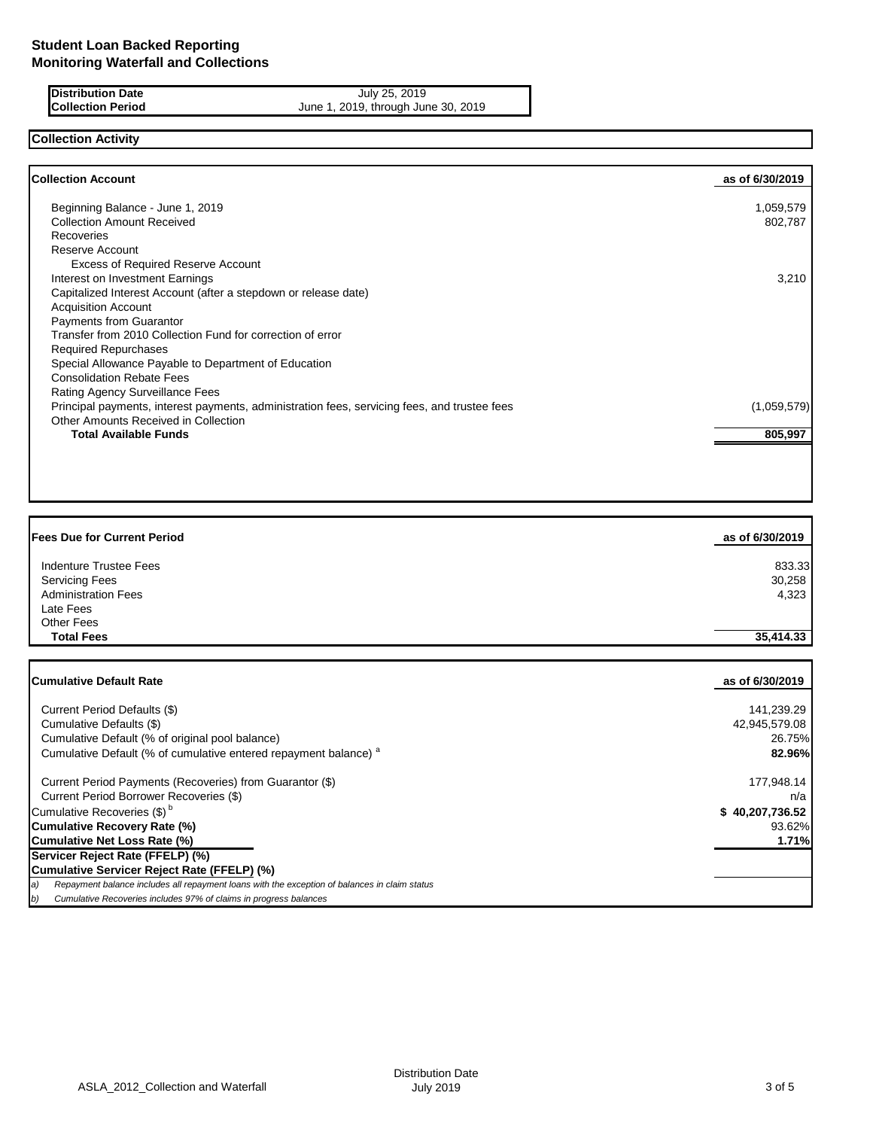**Distribution Date** July 25, 2019<br> **Collection Period** June 1, 2019, through Jun June 1, 2019, through June 30, 2019

# **Collection Activity**

| <b>Collection Account</b>                                                                    | as of 6/30/2019 |
|----------------------------------------------------------------------------------------------|-----------------|
| Beginning Balance - June 1, 2019                                                             | 1,059,579       |
| <b>Collection Amount Received</b>                                                            | 802,787         |
| <b>Recoveries</b>                                                                            |                 |
| Reserve Account                                                                              |                 |
| <b>Excess of Required Reserve Account</b>                                                    |                 |
| Interest on Investment Earnings                                                              | 3,210           |
| Capitalized Interest Account (after a stepdown or release date)                              |                 |
| <b>Acquisition Account</b>                                                                   |                 |
| <b>Payments from Guarantor</b>                                                               |                 |
| Transfer from 2010 Collection Fund for correction of error                                   |                 |
| <b>Required Repurchases</b>                                                                  |                 |
| Special Allowance Payable to Department of Education                                         |                 |
| <b>Consolidation Rebate Fees</b>                                                             |                 |
| Rating Agency Surveillance Fees                                                              |                 |
| Principal payments, interest payments, administration fees, servicing fees, and trustee fees | (1,059,579)     |
| Other Amounts Received in Collection                                                         |                 |
| <b>Total Available Funds</b>                                                                 | 805,997         |

| <b>Fees Due for Current Period</b> | as of 6/30/2019 |
|------------------------------------|-----------------|
| <b>Indenture Trustee Fees</b>      | 833.33          |
| <b>Servicing Fees</b>              | 30,258          |
| <b>Administration Fees</b>         | 4,323           |
| Late Fees                          |                 |
| Other Fees                         |                 |
| <b>Total Fees</b>                  | 35,414.33       |
|                                    |                 |
| <b>Cumulative Default Rate</b>     | as of 6/30/2019 |
|                                    |                 |

| Current Period Defaults (\$)                                                                         | 141,239.29      |
|------------------------------------------------------------------------------------------------------|-----------------|
| Cumulative Defaults (\$)                                                                             | 42,945,579.08   |
| Cumulative Default (% of original pool balance)                                                      | 26.75%          |
| Cumulative Default (% of cumulative entered repayment balance) <sup>a</sup>                          | 82.96%          |
| Current Period Payments (Recoveries) from Guarantor (\$)                                             | 177,948.14      |
| Current Period Borrower Recoveries (\$)                                                              | n/a             |
| Cumulative Recoveries (\$) <sup>b</sup>                                                              | \$40,207,736.52 |
| Cumulative Recovery Rate (%)                                                                         | 93.62%          |
| Cumulative Net Loss Rate (%)                                                                         | 1.71%           |
| Servicer Reject Rate (FFELP) (%)                                                                     |                 |
| Cumulative Servicer Reject Rate (FFELP) (%)                                                          |                 |
| Repayment balance includes all repayment loans with the exception of balances in claim status<br>la) |                 |
| Cumulative Recoveries includes 97% of claims in progress balances<br>b)                              |                 |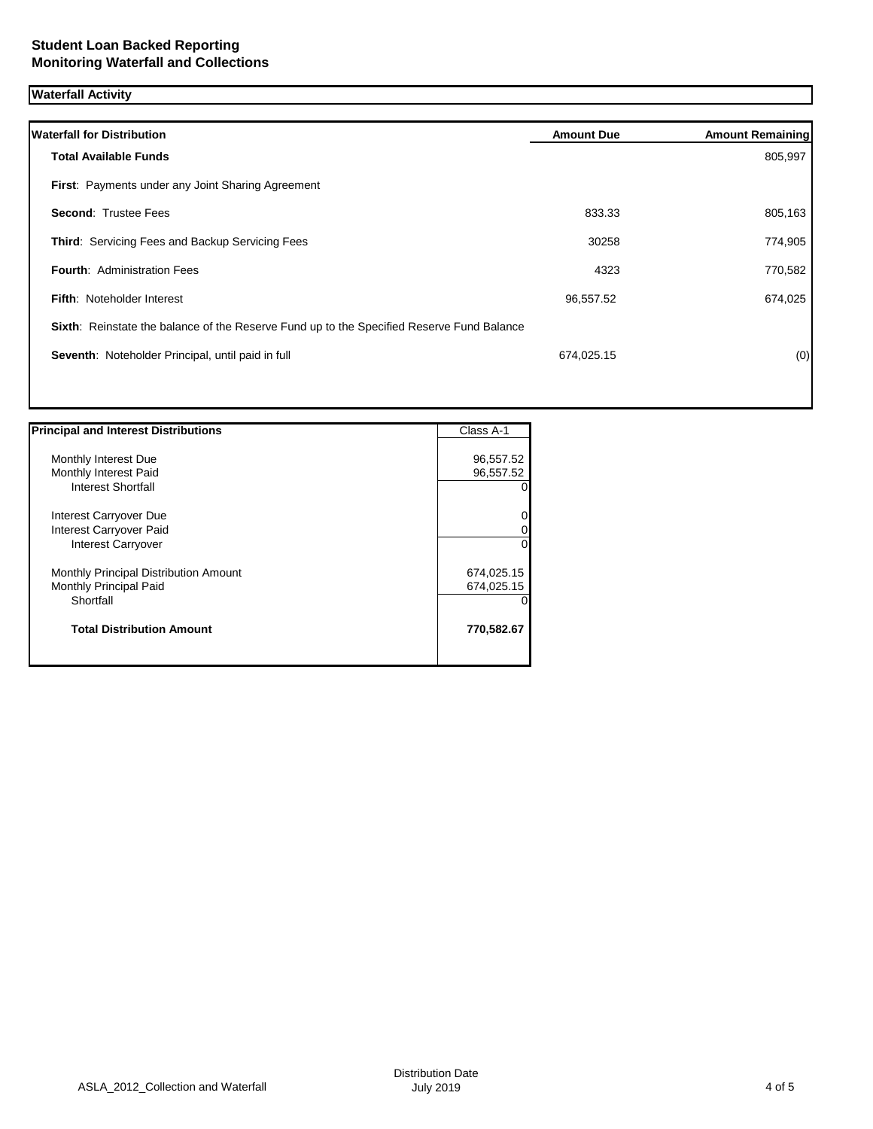# **Waterfall Activity**

| <b>Waterfall for Distribution</b>                                                         | <b>Amount Due</b> | <b>Amount Remaining</b> |
|-------------------------------------------------------------------------------------------|-------------------|-------------------------|
| <b>Total Available Funds</b>                                                              |                   | 805,997                 |
| First: Payments under any Joint Sharing Agreement                                         |                   |                         |
| <b>Second: Trustee Fees</b>                                                               | 833.33            | 805,163                 |
| Third: Servicing Fees and Backup Servicing Fees                                           | 30258             | 774,905                 |
| <b>Fourth: Administration Fees</b>                                                        | 4323              | 770,582                 |
| Fifth: Noteholder Interest                                                                | 96,557.52         | 674,025                 |
| Sixth: Reinstate the balance of the Reserve Fund up to the Specified Reserve Fund Balance |                   |                         |
| Seventh: Noteholder Principal, until paid in full                                         | 674,025.15        | (0)                     |
|                                                                                           |                   |                         |

| <b>Principal and Interest Distributions</b> | Class A-1  |
|---------------------------------------------|------------|
|                                             |            |
| Monthly Interest Due                        | 96,557.52  |
| Monthly Interest Paid                       | 96,557.52  |
| Interest Shortfall                          |            |
| Interest Carryover Due                      |            |
| Interest Carryover Paid                     |            |
| <b>Interest Carryover</b>                   | 0          |
| Monthly Principal Distribution Amount       | 674,025.15 |
| Monthly Principal Paid                      | 674,025.15 |
| Shortfall                                   |            |
| <b>Total Distribution Amount</b>            | 770,582.67 |
|                                             |            |

ヿ